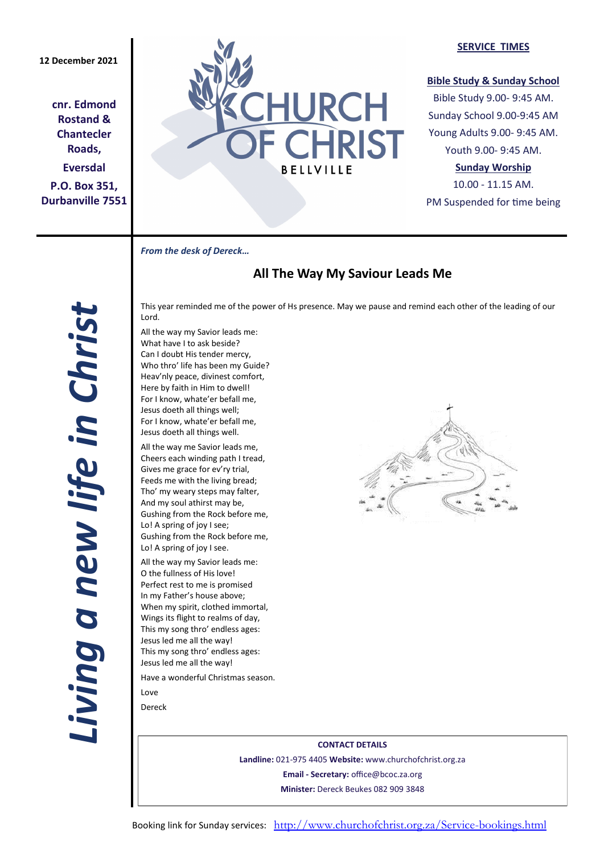# **12 December 2021**

**cnr. Edmond Rostand & Chantecler Roads, Eversdal P.O. Box 351, Durbanville 7551**



#### **SERVICE TIMES**

## **Bible Study & Sunday School**

Bible Study 9.00- 9:45 AM. Sunday School 9.00-9:45 AM Young Adults 9.00- 9:45 AM. Youth 9.00- 9:45 AM.

## **Sunday Worship**

10.00 - 11.15 AM. PM Suspended for time being

*From the desk of Dereck…* 

# **All The Way My Saviour Leads Me**

This year reminded me of the power of Hs presence. May we pause and remind each other of the leading of our Lord.

All the way my Savior leads me: What have I to ask beside? Can I doubt His tender mercy, Who thro' life has been my Guide? Heav'nly peace, divinest comfort, Here by faith in Him to dwell! For I know, whate'er befall me, Jesus doeth all things well; For I know, whate'er befall me, Jesus doeth all things well.

All the way me Savior leads me, Cheers each winding path I tread, Gives me grace for ev'ry trial, Feeds me with the living bread; Tho' my weary steps may falter, And my soul athirst may be, Gushing from the Rock before me, Lo! A spring of joy I see; Gushing from the Rock before me, Lo! A spring of joy I see.

All the way my Savior leads me: O the fullness of His love! Perfect rest to me is promised In my Father's house above; When my spirit, clothed immortal, Wings its flight to realms of day, This my song thro' endless ages: Jesus led me all the way! This my song thro' endless ages: Jesus led me all the way!

Have a wonderful Christmas season. Love

Dereck



**CONTACT DETAILS Landline:** 021-975 4405 **Website:** www.churchofchrist.org.za **Email - Secretary:** office@bcoc.za.org **Minister:** Dereck Beukes 082 909 3848